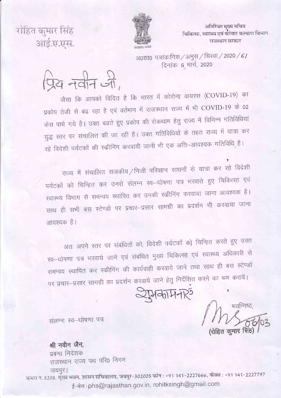अतिरिक्त मुख्य सचिव चिकित्सा, स्वास्थ्य एवं परिवार कल्याण विभाग राजस्थान सरकार



रोहित कमार सिंह आई.ए.एस.

> अ0शा0 पत्रांकःनिस / अमुस / चिस्वा / 2020 / 6/ दिनांकः 6 मार्च, 2020

प्रिय नवीन जी

जैसा कि आपको विदित है कि भारत में कोरोना वायरस (COVID-19) का प्रकोप तेजी से बढ रहा है एवं वर्तमान में राजस्थान राज्य में भी COVID-19 के 02 केस पाये गये है। उक्त बढते हुए प्रकोप की रोकथाम हेतु राज्य में विभिन्न गतिविधियां युद्ध स्तर पर संचालित की जा रही है। उक्त गतिविधियों के तहत राज्य में यात्रा कर रहे विदेशी पर्यटकों की स्कीनिंग करवायी जानी भी एक अति–आवश्यक गतिविधि है।

राज्य में संचालित राजकीय/निजी परिवहन साधनों से यात्रा कर रहे विदेशी पर्यटकों को चिन्हित कर उनसे संलग्न स्व-घोषणा पत्र भरवाते हुए चिकित्सा एवं रवास्थ्य विभाग से समन्वय स्थापित कर उनकी स्कीनिंग करवाया जाना आवश्यक है। साथ ही सभी बस स्टेण्डों पर प्रचार-प्रसार सामग्री का प्रदर्शन भी करवाया जाना आवश्यक है।

अतः अपने स्तर पर संबंधितों को, विदेशी पर्यटकों को चिन्हित करते हुए उक्त स्व–घोषणा पत्र भरवाये जाने एवं संबंधित मुख्य चिकित्सा एवं स्वास्थ्य अधिकारी से समन्वय स्थापित कर स्कीनिंग की कार्यवाही करवाये जाने तथा साथ ही बस स्टेण्डों पर प्रचार-प्रसार सामग्री का प्रदर्शन करवाये जाने हेतु निर्देशित करने का श्रम करावें।

 $Q$ अकामनार्

भवन्निष्ठ रोहित कुमार

संलग्नः स्व-घोषणा पत्र

## श्री नवीन जैन,

प्रबन्ध निदेशक राजस्थान राज्य पथ परि0 निगम जयपुर।

कमरा न. 5208, मुख्य भवन, शासन सचिवालय, जयपुर-302005 फोन : +91 141-2227666, फैक्स : +91 141-2227797 ई-मेल: phs@rajasthan.gov.in, rohitksingh@gmail.com